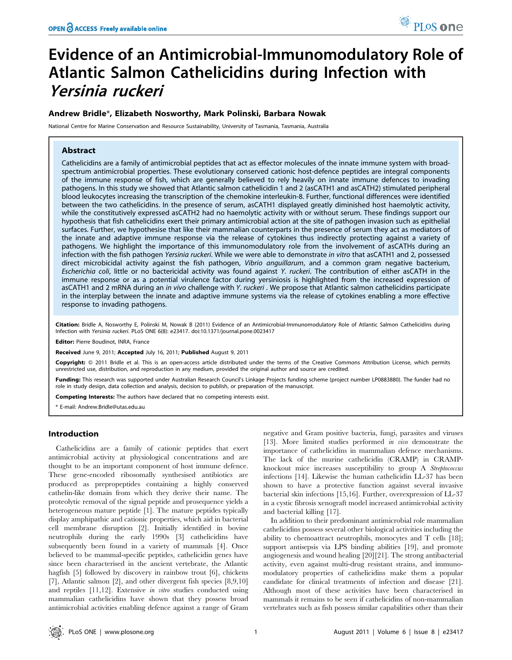# Evidence of an Antimicrobial-Immunomodulatory Role of Atlantic Salmon Cathelicidins during Infection with Yersinia ruckeri

# Andrew Bridle\*, Elizabeth Nosworthy, Mark Polinski, Barbara Nowak

National Centre for Marine Conservation and Resource Sustainability, University of Tasmania, Tasmania, Australia

# Abstract

Cathelicidins are a family of antimicrobial peptides that act as effector molecules of the innate immune system with broadspectrum antimicrobial properties. These evolutionary conserved cationic host-defence peptides are integral components of the immune response of fish, which are generally believed to rely heavily on innate immune defences to invading pathogens. In this study we showed that Atlantic salmon cathelicidin 1 and 2 (asCATH1 and asCATH2) stimulated peripheral blood leukocytes increasing the transcription of the chemokine interleukin-8. Further, functional differences were identified between the two cathelicidins. In the presence of serum, asCATH1 displayed greatly diminished host haemolytic activity, while the constitutively expressed asCATH2 had no haemolytic activity with or without serum. These findings support our hypothesis that fish cathelicidins exert their primary antimicrobial action at the site of pathogen invasion such as epithelial surfaces. Further, we hypothesise that like their mammalian counterparts in the presence of serum they act as mediators of the innate and adaptive immune response via the release of cytokines thus indirectly protecting against a variety of pathogens. We highlight the importance of this immunomodulatory role from the involvement of asCATHs during an infection with the fish pathogen Yersinia ruckeri. While we were able to demonstrate in vitro that asCATH1 and 2, possessed direct microbicidal activity against the fish pathogen, Vibrio anguillarum, and a common gram negative bacterium, Escherichia coli, little or no bactericidal activity was found against Y. ruckeri. The contribution of either asCATH in the immune response or as a potential virulence factor during yersiniosis is highlighted from the increased expression of asCATH1 and 2 mRNA during an in vivo challenge with Y. ruckeri . We propose that Atlantic salmon cathelicidins participate in the interplay between the innate and adaptive immune systems via the release of cytokines enabling a more effective response to invading pathogens.

Citation: Bridle A, Nosworthy E, Polinski M, Nowak B (2011) Evidence of an Antimicrobial-Immunomodulatory Role of Atlantic Salmon Cathelicidins during Infection with Yersinia ruckeri. PLoS ONE 6(8): e23417. doi:10.1371/journal.pone.0023417

Editor: Pierre Boudinot, INRA, France

Received June 9, 2011; Accepted July 16, 2011; Published August 9, 2011

Copyright: © 2011 Bridle et al. This is an open-access article distributed under the terms of the Creative Commons Attribution License, which permits unrestricted use, distribution, and reproduction in any medium, provided the original author and source are credited.

Funding: This research was supported under Australian Research Council's Linkage Projects funding scheme (project number LP0883880). The funder had no role in study design, data collection and analysis, decision to publish, or preparation of the manuscript.

Competing Interests: The authors have declared that no competing interests exist.

\* E-mail: Andrew.Bridle@utas.edu.au

## Introduction

Cathelicidins are a family of cationic peptides that exert antimicrobial activity at physiological concentrations and are thought to be an important component of host immune defence. These gene-encoded ribosomally synthesised antibiotics are produced as prepropeptides containing a highly conserved cathelin-like domain from which they derive their name. The proteolytic removal of the signal peptide and prosequence yields a heterogeneous mature peptide [1]. The mature peptides typically display amphipathic and cationic properties, which aid in bacterial cell membrane disruption [2]. Initially identified in bovine neutrophils during the early 1990s [3] cathelicidins have subsequently been found in a variety of mammals [4]. Once believed to be mammal-specific peptides, cathelicidin genes have since been characterised in the ancient vertebrate, the Atlantic hagfish [5] followed by discovery in rainbow trout [6], chickens [7], Atlantic salmon [2], and other divergent fish species [8,9,10] and reptiles [11,12]. Extensive in vitro studies conducted using mammalian cathelicidins have shown that they possess broad antimicrobial activities enabling defence against a range of Gram

negative and Gram positive bacteria, fungi, parasites and viruses [13]. More limited studies performed in vivo demonstrate the importance of cathelicidins in mammalian defence mechanisms. The lack of the murine cathelicidin (CRAMP) in CRAMPknockout mice increases susceptibility to group A Streptococcus infections [14]. Likewise the human cathelicidin LL-37 has been shown to have a protective function against several invasive bacterial skin infections [15,16]. Further, overexpression of LL-37 in a cystic fibrosis xenograft model increased antimicrobial activity and bacterial killing [17].

In addition to their predominant antimicrobial role mammalian cathelicidins possess several other biological activities including the ability to chemoattract neutrophils, monocytes and T cells [18]; support antisepsis via LPS binding abilities [19], and promote angiogenesis and wound healing [20][21]. The strong antibacterial activity, even against multi-drug resistant strains, and immunomodulatory properties of cathelicidins make them a popular candidate for clinical treatments of infection and disease [21]. Although most of these activities have been characterised in mammals it remains to be seen if cathelicidins of non-mammalian vertebrates such as fish possess similar capabilities other than their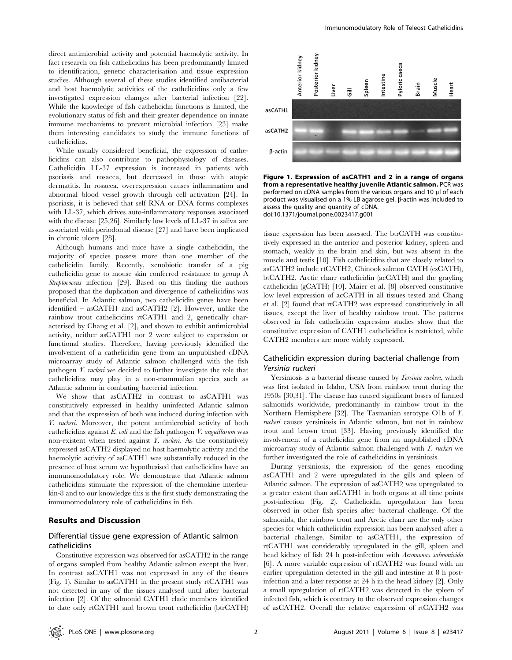direct antimicrobial activity and potential haemolytic activity. In fact research on fish cathelicidins has been predominantly limited to identification, genetic characterisation and tissue expression studies. Although several of these studies identified antibacterial and host haemolytic activities of the cathelicidins only a few investigated expression changes after bacterial infection [22]. While the knowledge of fish cathelicidin functions is limited, the evolutionary status of fish and their greater dependence on innate immune mechanisms to prevent microbial infection [23] make them interesting candidates to study the immune functions of cathelicidins.

While usually considered beneficial, the expression of cathelicidins can also contribute to pathophysiology of diseases. Cathelicidin LL-37 expression is increased in patients with psoriasis and rosacea, but decreased in those with atopic dermatitis. In rosacea, overexpression causes inflammation and abnormal blood vessel growth through cell activation [24]. In psoriasis, it is believed that self RNA or DNA forms complexes with LL-37, which drives auto-inflammatory responses associated with the disease [25,26]. Similarly low levels of LL-37 in saliva are associated with periodontal disease [27] and have been implicated in chronic ulcers [28].

Although humans and mice have a single cathelicidin, the majority of species possess more than one member of the cathelicidin family. Recently, xenobiotic transfer of a pig cathelicidin gene to mouse skin conferred resistance to group A Streptococcus infection [29]. Based on this finding the authors proposed that the duplication and divergence of cathelicidins was beneficial. In Atlantic salmon, two cathelicidin genes have been identified – asCATH1 and asCATH2 [2]. However, unlike the rainbow trout cathelicidins rtCATH1 and 2, genetically characterised by Chang et al. [2], and shown to exhibit antimicrobial activity, neither asCATH1 nor 2 were subject to expression or functional studies. Therefore, having previously identified the involvement of a cathelicidin gene from an unpublished cDNA microarray study of Atlantic salmon challenged with the fish pathogen Y. ruckeri we decided to further investigate the role that cathelicidins may play in a non-mammalian species such as Atlantic salmon in combating bacterial infection.

We show that asCATH2 in contrast to asCATH1 was constitutively expressed in healthy uninfected Atlantic salmon and that the expression of both was induced during infection with Y. ruckeri. Moreover, the potent antimicrobial activity of both cathelicidins against  $E.$  coli and the fish pathogen  $V.$  anguillarum was non-existent when tested against Y. ruckeri. As the constitutively expressed asCATH2 displayed no host haemolytic activity and the haemolytic activity of asCATH1 was substantially reduced in the presence of host serum we hypothesised that cathelicidins have an immunomodulatory role. We demonstrate that Atlantic salmon cathelicidins stimulate the expression of the chemokine interleukin-8 and to our knowledge this is the first study demonstrating the immunomodulatory role of cathelicidins in fish.

## Results and Discussion

## Differential tissue gene expression of Atlantic salmon cathelicidins

Constitutive expression was observed for asCATH2 in the range of organs sampled from healthy Atlantic salmon except the liver. In contrast asCATH1 was not expressed in any of the tissues (Fig. 1). Similar to asCATH1 in the present study rtCATH1 was not detected in any of the tissues analysed until after bacterial infection [2]. Of the salmonid CATH1 clade members identified to date only rtCATH1 and brown trout cathelicidin (btrCATH)



Figure 1. Expression of asCATH1 and 2 in a range of organs from a representative healthy juvenile Atlantic salmon. PCR was performed on cDNA samples from the various organs and 10 ul of each product was visualised on a 1% LB agarose gel.  $\beta$ -actin was included to assess the quality and quantity of cDNA. doi:10.1371/journal.pone.0023417.g001

tissue expression has been assessed. The btrCATH was constitutively expressed in the anterior and posterior kidney, spleen and stomach, weakly in the brain and skin, but was absent in the muscle and testis [10]. Fish cathelicidins that are closely related to asCATH2 include rtCATH2, Chinook salmon CATH (csCATH), btCATH2, Arctic charr cathelicidin (acCATH) and the grayling cathelicidin (gCATH) [10]. Maier et al. [8] observed constitutive low level expression of acCATH in all tissues tested and Chang et al. [2] found that rtCATH2 was expressed constitutively in all tissues, except the liver of healthy rainbow trout. The patterns observed in fish cathelicidin expression studies show that the constitutive expression of CATH1 cathelicidins is restricted, while CATH2 members are more widely expressed.

# Cathelicidin expression during bacterial challenge from Yersinia ruckeri

Yersiniosis is a bacterial disease caused by *Yersinia ruckeri*, which was first isolated in Idaho, USA from rainbow trout during the 1950s [30,31]. The disease has caused significant losses of farmed salmonids worldwide, predominantly in rainbow trout in the Northern Hemisphere [32]. The Tasmanian serotype O1b of Y. ruckeri causes yersiniosis in Atlantic salmon, but not in rainbow trout and brown trout [33]. Having previously identified the involvement of a cathelicidin gene from an unpublished cDNA microarray study of Atlantic salmon challenged with Y. ruckeri we further investigated the role of cathelicidins in yersiniosis.

During yersiniosis, the expression of the genes encoding asCATH1 and 2 were upregulated in the gills and spleen of Atlantic salmon. The expression of asCATH2 was upregulated to a greater extent than asCATH1 in both organs at all time points post-infection (Fig. 2). Cathelicidin upregulation has been observed in other fish species after bacterial challenge. Of the salmonids, the rainbow trout and Arctic charr are the only other species for which cathelicidin expression has been analysed after a bacterial challenge. Similar to asCATH1, the expression of rtCATH1 was considerably upregulated in the gill, spleen and head kidney of fish 24 h post-infection with Aeromonas salmonicida [6]. A more variable expression of rtCATH2 was found with an earlier upregulation detected in the gill and intestine at 8 h postinfection and a later response at 24 h in the head kidney [2]. Only a small upregulation of rtCATH2 was detected in the spleen of infected fish, which is contrary to the observed expression changes of asCATH2. Overall the relative expression of rtCATH2 was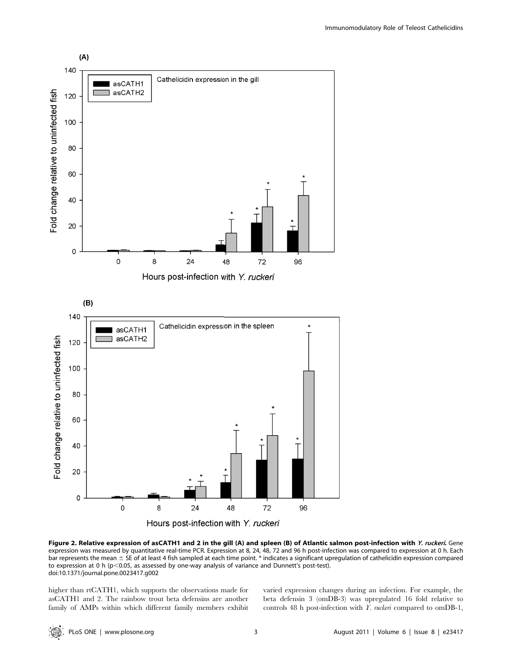

Figure 2. Relative expression of asCATH1 and 2 in the gill (A) and spleen (B) of Atlantic salmon post-infection with Y. ruckeri. Gene expression was measured by quantitative real-time PCR. Expression at 8, 24, 48, 72 and 96 h post-infection was compared to expression at 0 h. Each bar represents the mean  $\pm$  SE of at least 4 fish sampled at each time point. \* indicates a significant upregulation of cathelicidin expression compared to expression at 0 h ( $p$ <0.05, as assessed by one-way analysis of variance and Dunnett's post-test). doi:10.1371/journal.pone.0023417.g002

higher than rtCATH1, which supports the observations made for asCATH1 and 2. The rainbow trout beta defensins are another family of AMPs within which different family members exhibit varied expression changes during an infection. For example, the beta defensin 3 (omDB-3) was upregulated 16 fold relative to controls 48 h post-infection with *Y. ruckeri* compared to omDB-1,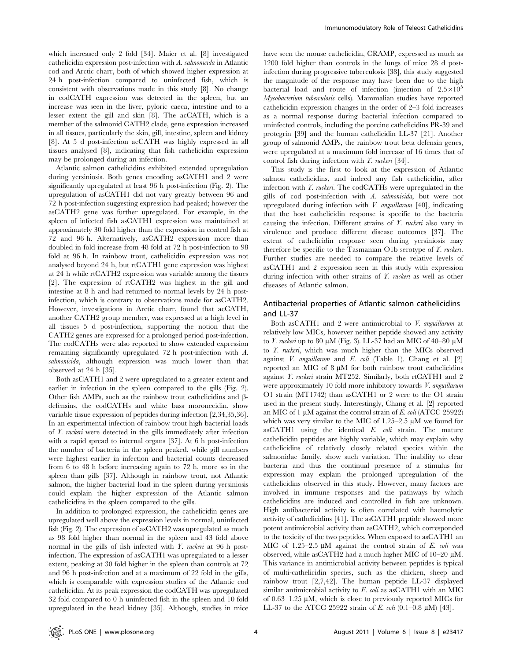which increased only 2 fold [34]. Maier et al. [8] investigated cathelicidin expression post-infection with A. salmonicida in Atlantic cod and Arctic charr, both of which showed higher expression at 24 h post-infection compared to uninfected fish, which is consistent with observations made in this study [8]. No change in codCATH expression was detected in the spleen, but an increase was seen in the liver, pyloric caeca, intestine and to a lesser extent the gill and skin [8]. The acCATH, which is a member of the salmonid CATH2 clade, gene expression increased in all tissues, particularly the skin, gill, intestine, spleen and kidney [8]. At 5 d post-infection acCATH was highly expressed in all tissues analysed [8], indicating that fish cathelicidin expression may be prolonged during an infection.

Atlantic salmon cathelicidins exhibited extended upregulation during yersiniosis. Both genes encoding asCATH1 and 2 were significantly upregulated at least 96 h post-infection (Fig. 2). The upregulation of asCATH1 did not vary greatly between 96 and 72 h post-infection suggesting expression had peaked; however the asCATH2 gene was further upregulated. For example, in the spleen of infected fish asCATH1 expression was maintained at approximately 30 fold higher than the expression in control fish at 72 and 96 h. Alternatively, asCATH2 expression more than doubled in fold increase from 48 fold at 72 h post-infection to 98 fold at 96 h. In rainbow trout, cathelicidin expression was not analysed beyond 24 h, but rtCATH1 gene expression was highest at 24 h while rtCATH2 expression was variable among the tissues [2]. The expression of rtCATH2 was highest in the gill and intestine at 8 h and had returned to normal levels by 24 h postinfection, which is contrary to observations made for asCATH2. However, investigations in Arctic charr, found that acCATH, another CATH2 group member, was expressed at a high level in all tissues 5 d post-infection, supporting the notion that the CATH2 genes are expressed for a prolonged period post-infection. The codCATHs were also reported to show extended expression remaining significantly upregulated 72 h post-infection with A. salmonicida, although expression was much lower than that observed at 24 h [35].

Both asCATH1 and 2 were upregulated to a greater extent and earlier in infection in the spleen compared to the gills (Fig. 2). Other fish AMPs, such as the rainbow trout cathelicidins and  $\beta$ defensins, the codCATHs and white bass moronecidin, show variable tissue expression of peptides during infection [2,34,35,36]. In an experimental infection of rainbow trout high bacterial loads of Y. ruckeri were detected in the gills immediately after infection with a rapid spread to internal organs [37]. At 6 h post-infection the number of bacteria in the spleen peaked, while gill numbers were highest earlier in infection and bacterial counts decreased from 6 to 48 h before increasing again to 72 h, more so in the spleen than gills [37]. Although in rainbow trout, not Atlantic salmon, the higher bacterial load in the spleen during yersiniosis could explain the higher expression of the Atlantic salmon cathelicidins in the spleen compared to the gills.

In addition to prolonged expression, the cathelicidin genes are upregulated well above the expression levels in normal, uninfected fish (Fig. 2). The expression of asCATH2 was upregulated as much as 98 fold higher than normal in the spleen and 43 fold above normal in the gills of fish infected with Y. ruckeri at 96 h postinfection. The expression of asCATH1 was upregulated to a lesser extent, peaking at 30 fold higher in the spleen than controls at 72 and 96 h post-infection and at a maximum of 22 fold in the gills, which is comparable with expression studies of the Atlantic cod cathelicidin. At its peak expression the codCATH was upregulated 32 fold compared to 0 h uninfected fish in the spleen and 10 fold upregulated in the head kidney [35]. Although, studies in mice

have seen the mouse cathelicidin, CRAMP, expressed as much as 1200 fold higher than controls in the lungs of mice 28 d postinfection during progressive tuberculosis [38], this study suggested the magnitude of the response may have been due to the high bacterial load and route of infection (injection of  $2.5 \times 10^5$ Mycobacterium tuberculosis cells). Mammalian studies have reported cathelicidin expression changes in the order of 2–3 fold increases as a normal response during bacterial infection compared to uninfected controls, including the porcine cathelicidins PR-39 and protegrin [39] and the human cathelicidin LL-37 [21]. Another group of salmonid AMPs, the rainbow trout beta defensin genes, were upregulated at a maximum fold increase of 16 times that of control fish during infection with Y. ruckeri [34].

This study is the first to look at the expression of Atlantic salmon cathelicidins, and indeed any fish cathelicidin, after infection with  $Y$ . *ruckeri*. The codCATHs were upregulated in the gills of cod post-infection with A. salmonicida, but were not upregulated during infection with V. anguillarum [40], indicating that the host cathelicidin response is specific to the bacteria causing the infection. Different strains of Y. ruckeri also vary in virulence and produce different disease outcomes [37]. The extent of cathelicidin response seen during yersiniosis may therefore be specific to the Tasmanian O1b serotype of  $\Gamma$ . *ruckeri*. Further studies are needed to compare the relative levels of asCATH1 and 2 expression seen in this study with expression during infection with other strains of Y. ruckeri as well as other diseases of Atlantic salmon.

## Antibacterial properties of Atlantic salmon cathelicidins and LL-37

Both asCATH1 and 2 were antimicrobial to V. anguillarum at relatively low MICs, however neither peptide showed any activity to *Y. ruckeri* up to 80  $\mu$ M (Fig. 3). LL-37 had an MIC of 40–80  $\mu$ M to Y. ruckeri, which was much higher than the MICs observed against V. anguillarum and E. coli (Table 1). Chang et al. [2] reported an MIC of  $8 \mu M$  for both rainbow trout cathelicidins against Y. ruckeri strain MT252. Similarly, both rtCATH1 and 2 were approximately 10 fold more inhibitory towards V. anguillarum O1 strain (MT1742) than asCATH1 or 2 were to the O1 strain used in the present study. Interestingly, Chang et al. [2] reported an MIC of 1  $\mu$ M against the control strain of E. coli (ATCC 25922) which was very similar to the MIC of  $1.25-2.5 \mu M$  we found for asCATH1 using the identical E. coli strain. The mature cathelicidin peptides are highly variable, which may explain why cathelicidins of relatively closely related species within the salmonidae family, show such variation. The inability to clear bacteria and thus the continual presence of a stimulus for expression may explain the prolonged upregulation of the cathelicidins observed in this study. However, many factors are involved in immune responses and the pathways by which cathelicidins are induced and controlled in fish are unknown. High antibacterial activity is often correlated with haemolytic activity of cathelicidins [41]. The asCATH1 peptide showed more potent antimicrobial activity than asCATH2, which corresponded to the toxicity of the two peptides. When exposed to asCATH1 an MIC of 1.25–2.5  $\mu$ M against the control strain of E. coli was observed, while as CATH2 had a much higher MIC of  $10-20 \mu M$ . This variance in antimicrobial activity between peptides is typical of multi-cathelicidin species, such as the chicken, sheep and rainbow trout [2,7,42]. The human peptide LL-37 displayed similar antimicrobial activity to E. coli as asCATH1 with an MIC of 0.63–1.25  $\mu$ M, which is close to previously reported MICs for LL-37 to the ATCC 25922 strain of E. coli  $(0.1-0.8 \mu M)$  [43].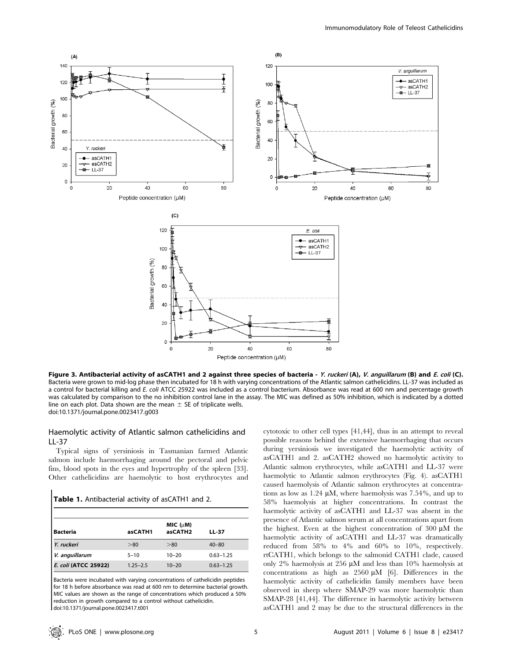

Figure 3. Antibacterial activity of asCATH1 and 2 against three species of bacteria - Y. ruckeri (A), V. anguillarum (B) and E. coli (C). Bacteria were grown to mid-log phase then incubated for 18 h with varying concentrations of the Atlantic salmon cathelicidins. LL-37 was included as a control for bacterial killing and E. coli ATCC 25922 was included as a control bacterium. Absorbance was read at 600 nm and percentage growth was calculated by comparison to the no inhibition control lane in the assay. The MIC was defined as 50% inhibition, which is indicated by a dotted line on each plot. Data shown are the mean  $\pm$  SE of triplicate wells. doi:10.1371/journal.pone.0023417.g003

# Haemolytic activity of Atlantic salmon cathelicidins and LL-37

Typical signs of yersiniosis in Tasmanian farmed Atlantic salmon include haemorrhaging around the pectoral and pelvic fins, blood spots in the eyes and hypertrophy of the spleen [33]. Other cathelicidins are haemolytic to host erythrocytes and

#### Table 1. Antibacterial activity of asCATH1 and 2.

| <b>Bacteria</b>      | asCATH1      | MIC (µM)<br>asCATH <sub>2</sub> | LL-37         |
|----------------------|--------------|---------------------------------|---------------|
| Y. ruckeri           | > 80         | > 80                            | $40 - 80$     |
| V. anguillarum       | $5 - 10$     | $10 - 20$                       | $0.63 - 1.25$ |
| E. coli (ATCC 25922) | $1.25 - 2.5$ | $10 - 20$                       | $0.63 - 1.25$ |

Bacteria were incubated with varying concentrations of cathelicidin peptides for 18 h before absorbance was read at 600 nm to determine bacterial growth. MIC values are shown as the range of concentrations which produced a 50% reduction in growth compared to a control without cathelicidin. doi:10.1371/journal.pone.0023417.t001

cytotoxic to other cell types [41,44], thus in an attempt to reveal possible reasons behind the extensive haemorrhaging that occurs during yersiniosis we investigated the haemolytic activity of asCATH1 and 2. asCATH2 showed no haemolytic activity to Atlantic salmon erythrocytes, while asCATH1 and LL-37 were haemolytic to Atlantic salmon erythrocytes (Fig. 4). asCATH1 caused haemolysis of Atlantic salmon erythrocytes at concentrations as low as  $1.24 \mu M$ , where haemolysis was  $7.54\%$ , and up to 58% haemolysis at higher concentrations. In contrast the haemolytic activity of asCATH1 and LL-37 was absent in the presence of Atlantic salmon serum at all concentrations apart from the highest. Even at the highest concentration of  $300 \mu M$  the haemolytic activity of asCATH1 and LL-37 was dramatically reduced from 58% to 4% and 60% to 10%, respectively. rtCATH1, which belongs to the salmonid CATH1 clade, caused only 2% haemolysis at 256  $\mu$ M and less than 10% haemolysis at concentrations as high as  $2560 \mu M$  [6]. Differences in the haemolytic activity of cathelicidin family members have been observed in sheep where SMAP-29 was more haemolytic than SMAP-28 [41,44]. The difference in haemolytic activity between asCATH1 and 2 may be due to the structural differences in the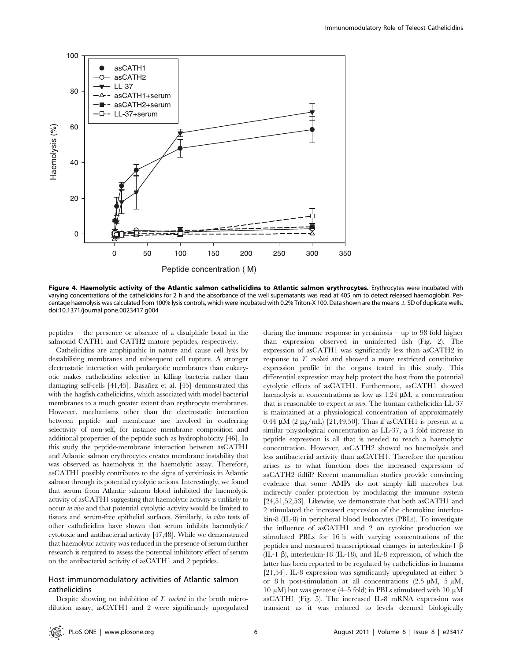

Figure 4. Haemolytic activity of the Atlantic salmon cathelicidins to Atlantic salmon erythrocytes. Erythrocytes were incubated with varying concentrations of the cathelicidins for 2 h and the absorbance of the well supernatants was read at 405 nm to detect released haemoglobin. Percentage haemolysis was calculated from 100% lysis controls, which were incubated with 0.2% Triton-X 100. Data shown are the means  $\pm$  SD of duplicate wells. doi:10.1371/journal.pone.0023417.g004

peptides – the presence or absence of a disulphide bond in the salmonid CATH1 and CATH2 mature peptides, respectively.

Cathelicidins are amphipathic in nature and cause cell lysis by destabilising membranes and subsequent cell rupture. A stronger electrostatic interaction with prokaryotic membranes than eukaryotic makes cathelicidins selective in killing bacteria rather than damaging self-cells [41,45]. Basañez et al. [45] demonstrated this with the hagfish cathelicidins, which associated with model bacterial membranes to a much greater extent than erythrocyte membranes. However, mechanisms other than the electrostatic interaction between peptide and membrane are involved in conferring selectivity of non-self, for instance membrane composition and additional properties of the peptide such as hydrophobicity [46]. In this study the peptide-membrane interaction between asCATH1 and Atlantic salmon erythrocytes creates membrane instability that was observed as haemolysis in the haemolytic assay. Therefore, asCATH1 possibly contributes to the signs of yersiniosis in Atlantic salmon through its potential cytolytic actions. Interestingly, we found that serum from Atlantic salmon blood inhibited the haemolytic activity of asCATH1 suggesting that haemolytic activity is unlikely to occur in vivo and that potential cytolytic activity would be limited to tissues and serum-free epithelial surfaces. Similarly, in vitro tests of other cathelicidins have shown that serum inhibits haemolytic/ cytotoxic and antibacterial activity [47,48]. While we demonstrated that haemolytic activity was reduced in the presence of serum further research is required to assess the potential inhibitory effect of serum on the antibacterial activity of asCATH1 and 2 peptides.

## Host immunomodulatory activities of Atlantic salmon cathelicidins

Despite showing no inhibition of  $\Gamma$ . *ruckeri* in the broth microdilution assay, asCATH1 and 2 were significantly upregulated during the immune response in yersiniosis – up to 98 fold higher than expression observed in uninfected fish (Fig. 2). The expression of asCATH1 was significantly less than asCATH2 in response to Y. ruckeri and showed a more restricted constitutive expression profile in the organs tested in this study. This differential expression may help protect the host from the potential cytolytic effects of asCATH1. Furthermore, asCATH1 showed haemolysis at concentrations as low as  $1.24 \mu M$ , a concentration that is reasonable to expect in vivo. The human cathelicidin LL-37 is maintained at a physiological concentration of approximately 0.44  $\mu$ M (2  $\mu$ g/mL) [21,49,50]. Thus if asCATH1 is present at a similar physiological concentration as LL-37, a 3 fold increase in peptide expression is all that is needed to reach a haemolytic concentration. However, asCATH2 showed no haemolysis and less antibacterial activity than asCATH1. Therefore the question arises as to what function does the increased expression of asCATH2 fulfil? Recent mammalian studies provide convincing evidence that some AMPs do not simply kill microbes but indirectly confer protection by modulating the immune system [24,51,52,53]. Likewise, we demonstrate that both asCATH1 and 2 stimulated the increased expression of the chemokine interleukin-8 (IL-8) in peripheral blood leukocytes (PBLs). To investigate the influence of asCATH1 and 2 on cytokine production we stimulated PBLs for 16 h with varying concentrations of the peptides and measured transcriptional changes in interleukin-1  $\beta$ (IL-1  $\beta$ ), interleukin-18 (IL-18), and IL-8 expression, of which the latter has been reported to be regulated by cathelicidins in humans [21,54]. IL-8 expression was significantly upregulated at either 5 or 8 h post-stimulation at all concentrations (2.5  $\mu$ M, 5  $\mu$ M, 10  $\mu$ M) but was greatest (4–5 fold) in PBLs stimulated with 10  $\mu$ M asCATH1 (Fig. 5). The increased IL-8 mRNA expression was transient as it was reduced to levels deemed biologically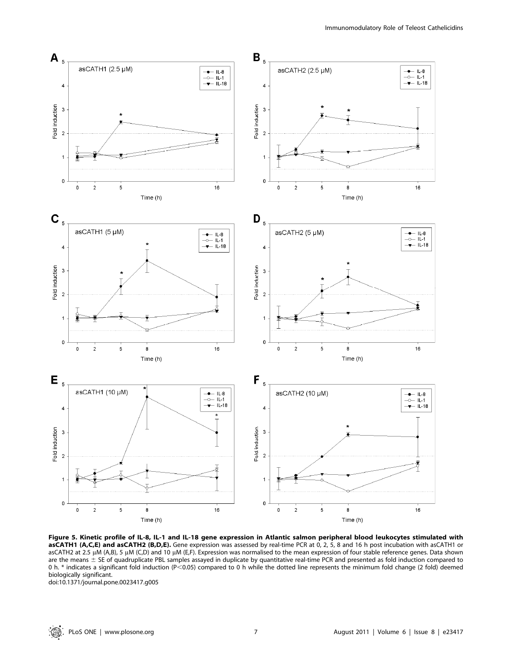

Figure 5. Kinetic profile of IL-8, IL-1 and IL-18 gene expression in Atlantic salmon peripheral blood leukocytes stimulated with asCATH1 (A,C,E) and asCATH2 (B,D,E). Gene expression was assessed by real-time PCR at 0, 2, 5, 8 and 16 h post incubation with asCATH1 or asCATH2 at 2.5 µM (A,B), 5 µM (C,D) and 10 µM (E,F). Expression was normalised to the mean expression of four stable reference genes. Data shown are the means  $\pm$  SE of quadruplicate PBL samples assayed in duplicate by quantitative real-time PCR and presented as fold induction compared to 0 h. \* indicates a significant fold induction (P<0.05) compared to 0 h while the dotted line represents the minimum fold change (2 fold) deemed biologically significant.

doi:10.1371/journal.pone.0023417.g005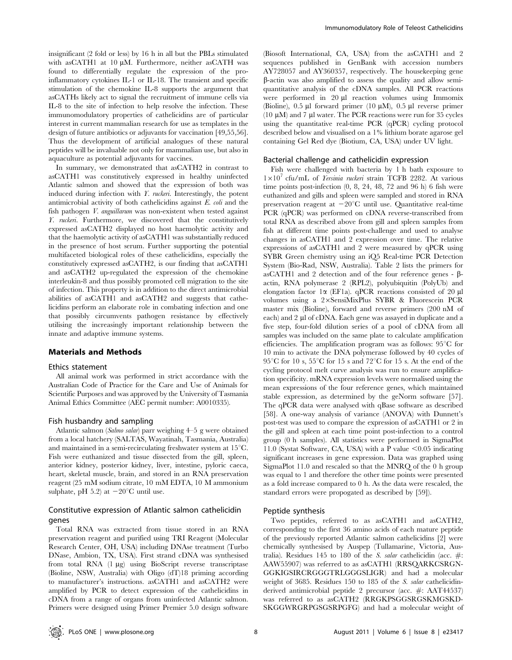insignificant (2 fold or less) by 16 h in all but the PBLs stimulated with asCATH1 at  $10 \mu M$ . Furthermore, neither asCATH was found to differentially regulate the expression of the proinflammatory cytokines IL-1 or IL-18. The transient and specific stimulation of the chemokine IL-8 supports the argument that asCATHs likely act to signal the recruitment of immune cells via IL-8 to the site of infection to help resolve the infection. These immunomodulatory properties of cathelicidins are of particular interest in current mammalian research for use as templates in the design of future antibiotics or adjuvants for vaccination [49,55,56]. Thus the development of artificial analogues of these natural peptides will be invaluable not only for mammalian use, but also in aquaculture as potential adjuvants for vaccines.

In summary, we demonstrated that asCATH2 in contrast to asCATH1 was constitutively expressed in healthy uninfected Atlantic salmon and showed that the expression of both was induced during infection with  $\hat{Y}$ , *ruckeri*. Interestingly, the potent antimicrobial activity of both cathelicidins against E. coli and the fish pathogen *V. anguillarum* was non-existent when tested against Y. ruckeri. Furthermore, we discovered that the constitutively expressed asCATH2 displayed no host haemolytic activity and that the haemolytic activity of asCATH1 was substantially reduced in the presence of host serum. Further supporting the potential multifaceted biological roles of these cathelicidins, especially the constitutively expressed asCATH2, is our finding that asCATH1 and asCATH2 up-regulated the expression of the chemokine interleukin-8 and thus possibly promoted cell migration to the site of infection. This property is in addition to the direct antimicrobial abilities of asCATH1 and asCATH2 and suggests that cathelicidins perform an elaborate role in combating infection and one that possibly circumvents pathogen resistance by effectively utilising the increasingly important relationship between the innate and adaptive immune systems.

### Materials and Methods

#### Ethics statement

All animal work was performed in strict accordance with the Australian Code of Practice for the Care and Use of Animals for Scientific Purposes and was approved by the University of Tasmania Animal Ethics Committee (AEC permit number: A0010335).

#### Fish husbandry and sampling

Atlantic salmon (Salmo salar) parr weighing 4–5 g were obtained from a local hatchery (SALTAS, Wayatinah, Tasmania, Australia) and maintained in a semi-recirculating freshwater system at  $15^{\circ}$ C. Fish were euthanized and tissue dissected from the gill, spleen, anterior kidney, posterior kidney, liver, intestine, pyloric caeca, heart, skeletal muscle, brain, and stored in an RNA preservation reagent (25 mM sodium citrate, 10 mM EDTA, 10 M ammonium sulphate, pH 5.2) at  $-20^{\circ}$ C until use.

# Constitutive expression of Atlantic salmon cathelicidin genes

Total RNA was extracted from tissue stored in an RNA preservation reagent and purified using TRI Reagent (Molecular Research Center, OH, USA) including DNAse treatment (Turbo DNase, Ambion, TX, USA). First strand cDNA was synthesised from total RNA (1 mg) using BioScript reverse transcriptase (Bioline, NSW, Australia) with Oligo (dT)18 priming according to manufacturer's instructions. asCATH1 and asCATH2 were amplified by PCR to detect expression of the cathelicidins in cDNA from a range of organs from uninfected Atlantic salmon. Primers were designed using Primer Premier 5.0 design software

(Biosoft International, CA, USA) from the asCATH1 and 2 sequences published in GenBank with accession numbers AY728057 and AY360357, respectively. The housekeeping gene b-actin was also amplified to assess the quality and allow semiquantitative analysis of the cDNA samples. All PCR reactions were performed in  $20 \mu l$  reaction volumes using Immomix (Bioline), 0.5  $\mu$ l forward primer (10  $\mu$ M), 0.5  $\mu$ l reverse primer (10  $\mu$ M) and 7  $\mu$ l water. The PCR reactions were run for 35 cycles using the quantitative real-time PCR (qPCR) cycling protocol described below and visualised on a 1% lithium borate agarose gel containing Gel Red dye (Biotium, CA, USA) under UV light.

#### Bacterial challenge and cathelicidin expression

Fish were challenged with bacteria by 1 h bath exposure to  $1\times10^{7}$  cfu/mL of Yersinia ruckeri strain TCFB 2282. At various time points post-infection (0, 8, 24, 48, 72 and 96 h) 6 fish were euthanized and gills and spleen were sampled and stored in RNA preservation reagent at  $-20^{\circ}$ C until use. Quantitative real-time PCR (qPCR) was performed on cDNA reverse-transcribed from total RNA as described above from gill and spleen samples from fish at different time points post-challenge and used to analyse changes in asCATH1 and 2 expression over time. The relative expressions of asCATH1 and 2 were measured by qPCR using SYBR Green chemistry using an iQ5 Real-time PCR Detection System (Bio-Rad, NSW, Australia). Table 2 lists the primers for asCATH1 and 2 detection and of the four reference genes  $-\beta$ actin, RNA polymerase 2 (RPL2), polyubiquitin (PolyUb) and elongation factor  $1\alpha$  (EF1a). qPCR reactions consisted of 20  $\mu$ l volumes using a 2×SensiMixPlus SYBR & Fluorescein PCR master mix (Bioline), forward and reverse primers (200 nM of each) and  $2 \mu$  of cDNA. Each gene was assayed in duplicate and a five step, four-fold dilution series of a pool of cDNA from all samples was included on the same plate to calculate amplification efficiencies. The amplification program was as follows:  $95^{\circ}$ C for 10 min to activate the DNA polymerase followed by 40 cycles of 95<sup>°</sup>C for 10 s, 55<sup>°</sup>C for 15 s and 72<sup>°</sup>C for 15 s. At the end of the cycling protocol melt curve analysis was run to ensure amplification specificity. mRNA expression levels were normalised using the mean expressions of the four reference genes, which maintained stable expression, as determined by the geNorm software [57]. The qPCR data were analysed with qBase software as described [58]. A one-way analysis of variance (ANOVA) with Dunnett's post-test was used to compare the expression of asCATH1 or 2 in the gill and spleen at each time point post-infection to a control group (0 h samples). All statistics were performed in SigmaPlot 11.0 (Systat Software, CA, USA) with a P value  $\leq 0.05$  indicating significant increases in gene expression. Data was graphed using SigmaPlot 11.0 and rescaled so that the MNRQ of the 0 h group was equal to 1 and therefore the other time points were presented as a fold increase compared to 0 h. As the data were rescaled, the standard errors were propogated as described by [59]).

#### Peptide synthesis

Two peptides, referred to as asCATH1 and asCATH2, corresponding to the first 36 amino acids of each mature peptide of the previously reported Atlantic salmon cathelicidins [2] were chemically synthesised by Auspep (Tullamarine, Victoria, Australia). Residues 145 to 180 of the S. salar cathelicidin (acc.  $\#$ : AAW55907) was referred to as asCATH1 (RRSQARKCSRGN-GGKIGSIRCRGGGTRLGGGSLIGR) and had a molecular weight of 3685. Residues 150 to 185 of the S. salar cathelicidinderived antimicrobial peptide 2 precursor (acc. #: AAT44537) was referred to as asCATH2 (RRGKPSGGSRGSKMGSKD-SKGGWRGRPGSGSRPGFG) and had a molecular weight of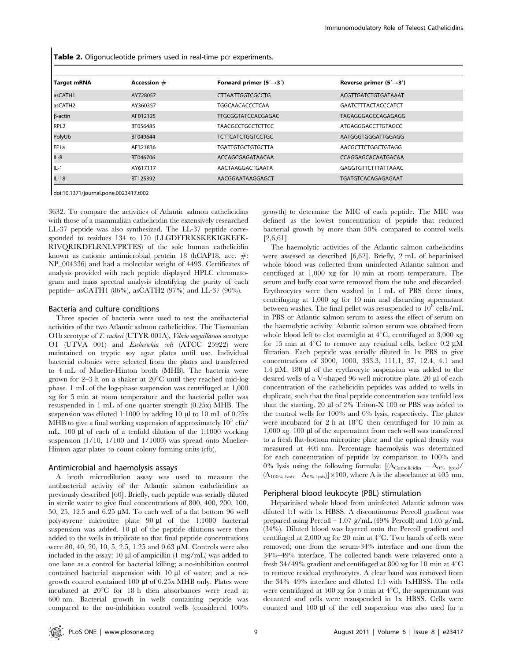Table 2. Oligonucleotide primers used in real-time pcr experiments.

| <b>Target mRNA</b>  | Accession # | Forward primer $(5' \rightarrow 3')$ | Reverse primer $(5' \rightarrow 3')$ |
|---------------------|-------------|--------------------------------------|--------------------------------------|
| asCATH1             | AY728057    | <b>CITAATTGGTCGCCTG</b>              | ACGTTGATCTGTGATAAAT                  |
| asCATH <sub>2</sub> | AY360357    | <b>TGGCAACACCCTCAA</b>               | <b>GAATCTTTACTACCCATCT</b>           |
| $\beta$ -actin      | AF012125    | <b>TTGCGGTATCCACGAGAC</b>            | TAGAGGGAGCCAGAGAGG                   |
| RPL <sub>2</sub>    | BT056485    | <b>TAACGCCTGCCTCTTCC</b>             | ATGAGGGACCTTGTAGCC                   |
| PolyUb              | BT049644    | <b>TCTTCATCTGGTCCTGC</b>             | AATGGGTGGGATTGGAGG                   |
| EF <sub>1a</sub>    | AF321836    | <b>TGATTGTGCTGTGCTTA</b>             | AACGCTTCTGGCTGTAGG                   |
| $IL-8$              | BT046706    | ACCAGCGAGATAACAA                     | CCAGGAGCACAATGACAA                   |
| $IL-1$              | AY617117    | AACTAAGGACTGAATA                     | <b>GAGGTGTTCTTTATTAAAC</b>           |
| $IL-18$             | BT125392    | AACGGAATAAGGAGCT                     | TGATGTCACAGAGAGAAT                   |

doi:10.1371/journal.pone.0023417.t002

3632. To compare the activities of Atlantic salmon cathelicidins with those of a mammalian cathelicidin the extensively researched LL-37 peptide was also synthesized. The LL-37 peptide corresponded to residues 134 to 170 (LLGDFFRKSKEKIGKEFK-RIVQRIKDFLRNLVPRTES) of the sole human cathelicidin known as cationic antimicrobial protein 18 (hCAP18, acc. #: NP\_004336) and had a molecular weight of 4493. Certificates of analysis provided with each peptide displayed HPLC chromatogram and mass spectral analysis identifying the purity of each peptide– asCATH1 (86%), asCATH2 (97%) and LL-37 (90%).

#### Bacteria and culture conditions

Three species of bacteria were used to test the antibacterial activities of the two Atlantic salmon cathelicidins. The Tasmanian O1b serotype of Y. ruckeri (UTYR 001A), Vibrio anguillarum serotype O1 (UTVA 001) and Escherichia coli (ATCC 25922) were maintained on tryptic soy agar plates until use. Individual bacterial colonies were selected from the plates and transferred to 4 mL of Mueller-Hinton broth (MHB). The bacteria were grown for 2–3 h on a shaker at  $20^{\circ}$ C until they reached mid-log phase. 1 mL of the log-phase suspension was centrifuged at 1,000 xg for 5 min at room temperature and the bacterial pellet was resuspended in 1 mL of one quarter strength (0.25x) MHB. The suspension was diluted 1:1000 by adding 10 µl to 10 mL of 0.25x MHB to give a final working suspension of approximately  $10^5$  cfu/ mL. 100 µl of each of a tenfold dilution of the 1:1000 working suspension (1/10, 1/100 and 1/1000) was spread onto Mueller-Hinton agar plates to count colony forming units (cfu).

#### Antimicrobial and haemolysis assays

A broth microdilution assay was used to measure the antibacterial activity of the Atlantic salmon cathelicidins as previously described [60]. Briefly, each peptide was serially diluted in sterile water to give final concentrations of 800, 400, 200, 100, 50, 25, 12.5 and 6.25  $\mu$ M. To each well of a flat bottom 96 well polystyrene microtitre plate 90 µl of the 1:1000 bacterial suspension was added.  $10 \mu l$  of the peptide dilutions were then added to the wells in triplicate so that final peptide concentrations were 80, 40, 20, 10, 5, 2.5, 1.25 and 0.63  $\mu$ M. Controls were also included in the assay: 10  $\mu$ l of ampicillin (1 mg/mL) was added to one lane as a control for bacterial killing; a no-inhibition control contained bacterial suspension with  $10 \mu l$  of water; and a nogrowth control contained 100 µl of 0.25x MHB only. Plates were incubated at  $20^{\circ}$ C for 18 h then absorbances were read at 600 nm. Bacterial growth in wells containing peptide was compared to the no-inhibition control wells (considered 100%

growth) to determine the MIC of each peptide. The MIC was defined as the lowest concentration of peptide that reduced bacterial growth by more than 50% compared to control wells [2,6,61].

The haemolytic activities of the Atlantic salmon cathelicidins were assessed as described [6,62]. Briefly, 2 mL of heparinised whole blood was collected from uninfected Atlantic salmon and centifuged at 1,000 xg for 10 min at room temperature. The serum and buffy coat were removed from the tube and discarded. Erythrocytes were then washed in 1 mL of PBS three times, centrifuging at 1,000 xg for 10 min and discarding supernatant between washes. The final pellet was resuspended to  $10^8$  cells/mL in PBS or Atlantic salmon serum to assess the effect of serum on the haemolytic activity. Atlantic salmon serum was obtained from whole blood left to clot overnight at  $4^{\circ}$ C, centrifuged at 3,000 xg for 15 min at  $4^{\circ}$ C to remove any residual cells, before 0.2  $\mu$ M filtration. Each peptide was serially diluted in 1x PBS to give concentrations of 3000, 1000, 333.3, 111.1, 37, 12.4, 4.1 and 1.4  $\mu$ M. 180  $\mu$ l of the erythrocyte suspension was added to the desired wells of a V-shaped 96 well microtitre plate. 20 µl of each concentration of the cathelicidin peptides was added to wells in duplicate, such that the final peptide concentration was tenfold less than the starting. 20  $\mu$ l of 2% Triton-X 100 or PBS was added to the control wells for 100% and 0% lysis, respectively. The plates were incubated for 2 h at  $18^{\circ}$ C then centrifuged for 10 min at  $1,000$  xg. 100  $\mu$ l of the supernatant from each well was transferred to a fresh flat-bottom microtitre plate and the optical density was measured at 405 nm. Percentage haemolysis was determined for each concentration of peptide by comparison to 100% and 0% lysis using the following formula:  $[(A_{\text{Cathelicidin}} - A_{0\%})_{\text{ysis}}]$  $(A_{100\%}$  lysis –  $A_{0\%}$  lysis)] × 100, where A is the absorbance at 405 nm.

#### Peripheral blood leukocyte (PBL) stimulation

Heparinised whole blood from uninfected Atlantic salmon was diluted 1:1 with 1x HBSS. A discontinuous Percoll gradient was prepared using Percoll – 1.07 g/mL (49% Percoll) and 1.05 g/mL (34%). Diluted blood was layered onto the Percoll gradient and centifuged at  $2,000$  xg for 20 min at  $4^{\circ}$ C. Two bands of cells were removed; one from the serum-34% interface and one from the 34%–49% interface. The collected bands were relayered onto a fresh 34/49% gradient and centifuged at 800 xg for 10 min at  $4^{\circ}$ C to remove residual erythrocytes. A clear band was removed from the 34%–49% interface and diluted 1:1 with 1xHBSS. The cells were centrifuged at 500 xg for 5 min at  $4^{\circ}$ C, the supernatant was decanted and cells were resuspended in 1x HBSS. Cells were counted and 100 µl of the cell suspension was also used for a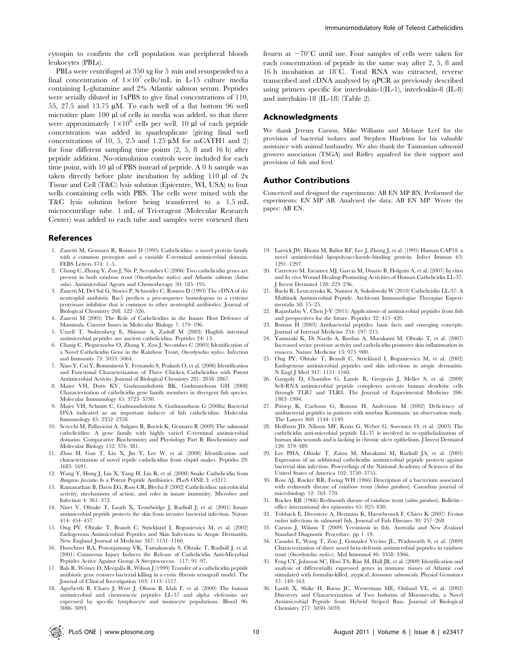cytospin to confirm the cell population was peripheral bloods leukocytes (PBLs).

PBLs were centrifuged at 350 xg for 5 min and resuspended to a final concentration of  $1\times10^{7}$  cells/mL in L-15 culture media containing L-glutamine and 2% Atlantic salmon serum. Peptides were serially diluted in 1xPBS to give final concentrations of 110, 55, 27.5 and 13.75  $\mu$ M. To each well of a flat bottom 96 well microtitre plate 100 µl of cells in media was added, so that there were approximately  $1\times10^6$  cells per well. 10 µl of each peptide concentration was added in quadruplicate (giving final well concentrations of 10, 5, 2.5 and 1.25  $\mu$ M for asCATH1 and 2) for four different sampling time points (2, 5, 8 and 16 h) after peptide addition. No-stimulation controls were included for each time point, with 10 µl of PBS instead of peptide. A 0 h sample was taken directly before plate incubation by adding 110  $\mu$ l of 2x Tissue and Cell (T&C) lysis solution (Epicentre, WI, USA) to four wells containing cells with PBS. The cells were mixed with the T&C lysis solution before being transferred to a 1.5 mL microcentrifuge tube. 1 mL of Tri-reagent (Molecular Research Center) was added to each tube and samples were vortexed then

#### References

- 1. Zanetti M, Gennaro R, Romeo D (1995) Cathelicidins: a novel protein family with a common proregion and a variable C-terminal antimicrobial domain. FEBS Letters 374: 1–5.
- 2. Chang C, Zhang Y, Zou J, Nie P, Secombes C (2006) Two cathelicidin genes are present in both rainbow trout (Oncorhynchus mykiss) and Atlantic salmon (Salmo salar). Antimicrobial Agents and Chemotherapy 50: 185-195.
- 3. Zanetti M, Del Sal G, Storici P, Schneider C, Romeo D (1993) The cDNA of the neutrophil antibiotic Bac5 predicts a pro-sequence homologous to a cysteine proteinase inhibitor that is common to other neutrophil antibiotics. Journal of Biological Chemistry 268: 522–526.
- 4. Zanetti M (2005) The Role of Cathelicidins in the Innate Host Defenses of Mammals. Current Issues in Molecular Biology 7: 179–196.
- 5. Uzzell T, Stolzenberg E, Shinnar A, Zasloff M (2003) Hagfish intestinal antimicrobial peptides are ancient cathelicidins. Peptides 24: 13.
- 6. Chang C, Pleguezuelos O, Zhang Y, Zou J, Secombes C (2005) Identification of a Novel Cathelicidin Gene in the Rainbow Trout, Oncorhynchus mykiss. Infection and Immunity 73: 5053–5064.
- 7. Xiao Y, Cai Y, Bommineni Y, Fernando S, Prakash O, et al. (2006) Identification and Functional Characterization of Three Chicken Cathelicidins with Potent Antimicrobial Activity. Journal of Biological Chemistry 281: 2858–2867.
- 8. Maier VH, Dorn KV, Gudmundsdottir BK, Gudmundsson GH (2008) Characterisation of cathelicidin gene family members in divergent fish species. Molecular Immunology 45: 3723–3730.
- 9. Maier VH, Schmitt C, Gudmundsdottir S, Gudmundsson G (2008a) Bacterial DNA indicated as an important inducer of fish cathelicidins. Molecular Immunology 45: 2352–2358.
- 10. Scocchi M, Pallavicini A, Salgaro R, Bociek K, Gennaro R (2009) The salmonid cathelicidins: A gene family with highly varied C-terminal antimicrobial domains. Comparative Biochemistry and Physiology Part B: Biochemistry and Molecular Biology 152: 376–381.
- 11. Zhao H, Gan T, Liu X, Jin Y, Lee W, et al. (2008) Identification and characterization of novel reptile cathelicidins from elapid snakes. Peptides 29: 1685–1691.
- 12. Wang Y, Hong J, Liu X, Yang H, Liu R, et al. (2008) Snake Cathelicidin from Bungarus fasciatus Is a Potent Peptide Antibiotics. PLoS ONE 3: e3217.
- 13. Ramanathan B, Davis EG, Ross CR, Blecha F (2002) Cathelicidins: microbicidal activity, mechanisms of action, and roles in innate immunity. Microbes and Infection 4: 361–372.
- 14. Nizet V, Ohtake T, Lauth X, Trowbridge J, Rudisill J, et al. (2001) Innate antimicrobial peptide protects the skin from invasive bacterial infection. Nature 414: 454–457.
- 15. Ong PY, Ohtake T, Brandt C, Strickland I, Boguniewicz M, et al. (2002) Endogenous Antimicrobial Peptides and Skin Infections in Atopic Dermatitis. New England Journal of Medicine 347: 1151–1160.
- 16. Dorschner RA, Pestonjamasp VK, Tamakuwala S, Ohtake T, Rudisill J, et al. (2001) Cutaneous Injury Induces the Release of Cathelicidin Anti-Microbial Peptides Active Against Group A Streptococcus. 117: 91–97.
- 17. Bals R, Weiner D, Meegalla R, Wilson J (1999) Transfer of a cathelicidin peptide antibiotic gene restores bacterial killing in a cystic fibrosis xenograft model. The Journal of Clinical Investigation 103: 1113–1117.
- 18. Agerberth B, Charo J, Werr J, Olsson B, Idali F, et al. (2000) The human antimicrobial and chemotactic peptides LL-37 and alpha -defensins are expressed by specific lymphocyte and monocyte populations. Blood 96: 3086–3093.

frozen at  $-70^{\circ}$ C until use. Four samples of cells were taken for each concentration of peptide in the same way after 2, 5, 8 and 16 h incubation at  $18^{\circ}$ C. Total RNA was extracted, reverse transcribed and cDNA analysed by qPCR as previously described using primers specific for interleukin-1(IL-1), interleukin-8 (IL-8) and interlukin-18 (IL-18) (Table 2).

## Acknowledgments

We thank Jeremy Carson, Mike Williams and Melanie Leef for the provision of bacterial isolates and Stephen Hindrum for his valuable assistance with animal husbandry. We also thank the Tasmanian salmonid growers association (TSGA) and Ridley aquafeed for their support and provision of fish and feed.

## Author Contributions

Conceived and designed the experiments: AB EN MP BN. Performed the experiments: EN MP AB. Analyzed the data: AB EN MP. Wrote the paper: AB EN.

- 19. Larrick JW, Hirata M, Balint RF, Lee J, Zhong J, et al. (1995) Human CAP18: a novel antimicrobial lipopolysaccharide-binding protein. Infect Immun 63: 1291–1297.
- 20. Carretero M, Escamez MJ, Garcia M, Duarte B, Holguin A, et al. (2007) In vitro and In vivo Wound Healing-Promoting Activities of Human Cathelicidin LL-37. J Invest Dermatol 128: 223–236.
- 21. Bucki R, Leszczynska K, Namiot A, Sokolowski W (2010) Cathelicidin LL-37: A Multitask Antimicrobial Peptide. Archivum Immunologiae Therapiae Experimentalis 58: 15–25.
- 22. Rajanbabu V, Chen J-Y (2011) Applications of antimicrobial peptides from fish and perspectives for the future. Peptides 32: 415–420.
- 23. Boman H (2003) Antibacterial peptides: basic facts and emerging concepts. Journal of Internal Medicine 254: 197–215.
- 24. Yamasaki K, Di Nardo A, Bardan A, Murakami M, Ohtake T, et al. (2007) Increased serine protease activity and cathelicidin promotes skin inflammation in rosacea. Nature Medicine 13: 975–980.
- 25. Ong PY, Ohtake T, Brandt C, Strickland I, Boguniewicz M, et al. (2002) Endogenous antimicrobial peptides and skin infections in atopic dermatitis. N Engl J Med 347: 1151-1160.
- 26. Ganguly D, Chamilos G, Lande R, Gregorio J, Meller S, et al. (2009) Self-RNA–antimicrobial peptide complexes activate human dendritic cells through TLR7 and TLR8. The Journal of Experimental Medicine 206: 1983–1994.
- 27. Pütsep K, Carlsson G, Boman H, Andersson M (2002) Deficiency of antibacterial peptides in patients with morbus Kostmann: an observation study. The Lancet 360: 1144–1149.
- 28. Heilborn JD, Nilsson MF, Kratz G, Weber G, Sorensen O, et al. (2003) The cathelicidin anti-microbial peptide LL-37 is involved in re-epithelialization of human skin wounds and is lacking in chronic ulcer epithelium. J Invest Dermatol 120: 379–389.
- 29. Lee PHA, Ohtake T, Zaiou M, Murakami M, Rudisill JA, et al. (2005) Expression of an additional cathelicidin antimicrobial peptide protects against bacterial skin infection. Proceedings of the National Academy of Sciences of the United States of America 102: 3750–3755.
- 30. Ross AJ, Rucker RR, Ewing WH (1966) Description of a bacterium associated with redmouth disease of rainbow trout (Salmo gairdneri). Canadian journal of microbiology 12: 763–770.
- 31. Rucker RR (1966) Redmouth disease of rainbow trout (salmo gairdneri). Bulletin office international des epizooties 65: 825–830.
- 32. Tobback E, Decostere A, Hermans K, Haesebrouck F, Chiers K (2007) Yersinia ruckeri infections in salmonid fish. Journal of Fish Diseases 30: 257–268.
- 33. Carson J, Wilson T (2009) Yersiniosis in fish. Australia and New Zealand Standard Diagnostic Procedure. pp 1–19.
- 34. Casadei E, Wang T, Zou J, Gonzalez Vecino JL, Wadsworth S, et al. (2009) Characterization of three novel beta-defensin antimicrobial peptides in rainbow trout (Oncorhynchus mykiss). Mol Immunol 46: 3358–3366.
- 35. Feng CY, Johnson SC, Hori TS, Rise M, Hall JR, et al. (2009) Identification and analysis of differentially expressed genes in immune tissues of Atlantic cod stimulated with formalin-killed, atypical Aeromonas salmonicida. Physiol Genomics 37: 149–163.
- 36. Lauth X, Shike H, Burns JC, Westerman ME, Ostland VE, et al. (2002) Discovery and Characterization of Two Isoforms of Moronecidin, a Novel Antimicrobial Peptide from Hybrid Striped Bass. Journal of Biological Chemistry 277: 5030–5039.